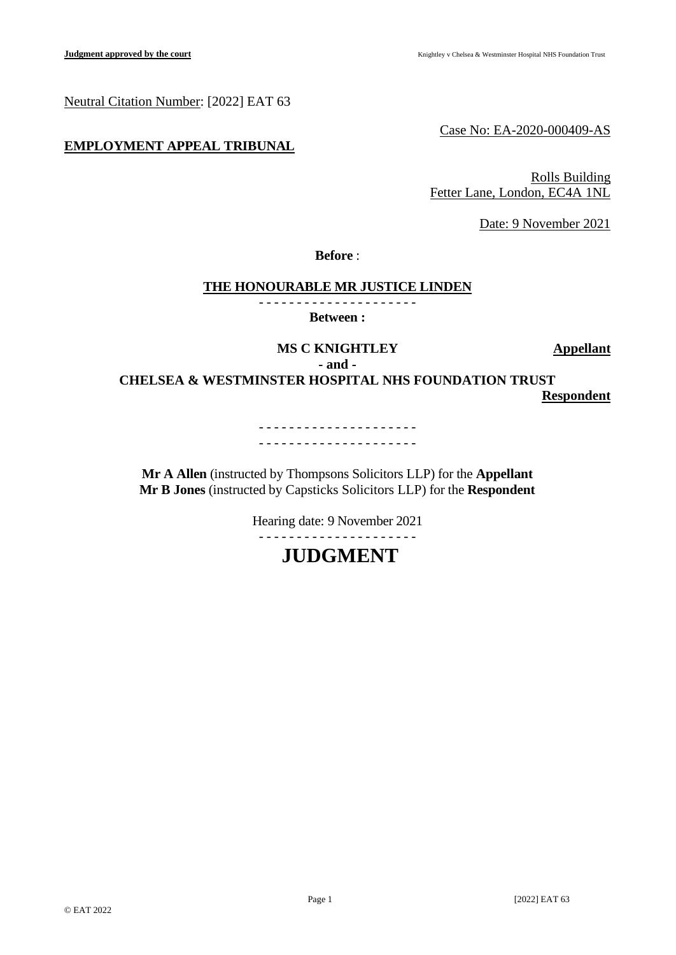Neutral Citation Number: [2022] EAT 63

# **EMPLOYMENT APPEAL TRIBUNAL**

Case No: EA-2020-000409-AS

Rolls Building Fetter Lane, London, EC4A 1NL

Date: 9 November 2021

**Before** :

# **THE HONOURABLE MR JUSTICE LINDEN**

- - - - - - - - - - - - - - - - - - - - - **Between :**

> **MS C KNIGHTLEY Appellant - and -**

**CHELSEA & WESTMINSTER HOSPITAL NHS FOUNDATION TRUST**

**Respondent**

- - - - - - - - - - - - - - - - - - - - - - - - - - - - - - - - - - - - - - - - - -

**Mr A Allen** (instructed by Thompsons Solicitors LLP) for the **Appellant Mr B Jones** (instructed by Capsticks Solicitors LLP) for the **Respondent**

Hearing date: 9 November 2021

# - - - - - - - - - - - - - - - - - - - - - **JUDGMENT**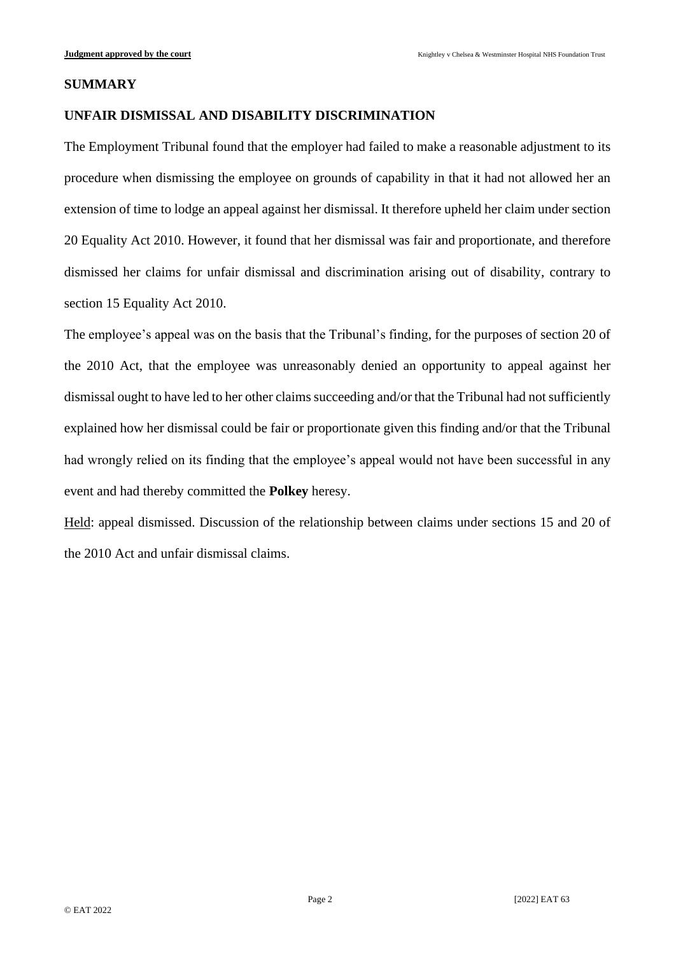#### **SUMMARY**

# **UNFAIR DISMISSAL AND DISABILITY DISCRIMINATION**

The Employment Tribunal found that the employer had failed to make a reasonable adjustment to its procedure when dismissing the employee on grounds of capability in that it had not allowed her an extension of time to lodge an appeal against her dismissal. It therefore upheld her claim under section 20 Equality Act 2010. However, it found that her dismissal was fair and proportionate, and therefore dismissed her claims for unfair dismissal and discrimination arising out of disability, contrary to section 15 Equality Act 2010.

The employee's appeal was on the basis that the Tribunal's finding, for the purposes of section 20 of the 2010 Act, that the employee was unreasonably denied an opportunity to appeal against her dismissal ought to have led to her other claims succeeding and/or that the Tribunal had not sufficiently explained how her dismissal could be fair or proportionate given this finding and/or that the Tribunal had wrongly relied on its finding that the employee's appeal would not have been successful in any event and had thereby committed the **Polkey** heresy.

Held: appeal dismissed. Discussion of the relationship between claims under sections 15 and 20 of the 2010 Act and unfair dismissal claims.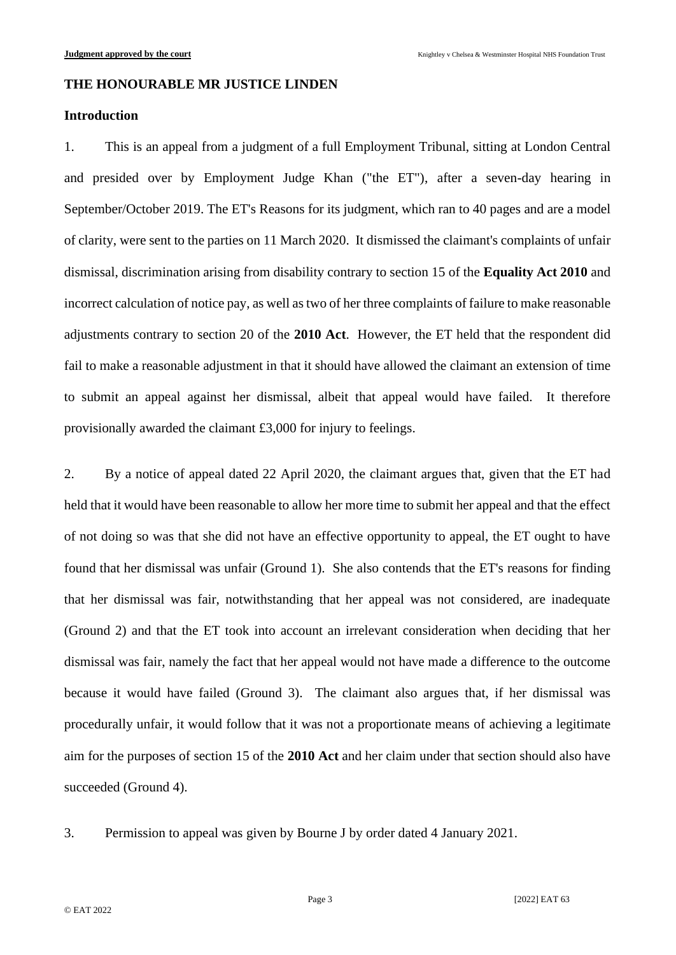#### **THE HONOURABLE MR JUSTICE LINDEN**

#### **Introduction**

1. This is an appeal from a judgment of a full Employment Tribunal, sitting at London Central and presided over by Employment Judge Khan ("the ET"), after a seven-day hearing in September/October 2019. The ET's Reasons for its judgment, which ran to 40 pages and are a model of clarity, were sent to the parties on 11 March 2020. It dismissed the claimant's complaints of unfair dismissal, discrimination arising from disability contrary to section 15 of the **Equality Act 2010** and incorrect calculation of notice pay, as well as two of her three complaints of failure to make reasonable adjustments contrary to section 20 of the **2010 Act**. However, the ET held that the respondent did fail to make a reasonable adjustment in that it should have allowed the claimant an extension of time to submit an appeal against her dismissal, albeit that appeal would have failed. It therefore provisionally awarded the claimant £3,000 for injury to feelings.

2. By a notice of appeal dated 22 April 2020, the claimant argues that, given that the ET had held that it would have been reasonable to allow her more time to submit her appeal and that the effect of not doing so was that she did not have an effective opportunity to appeal, the ET ought to have found that her dismissal was unfair (Ground 1). She also contends that the ET's reasons for finding that her dismissal was fair, notwithstanding that her appeal was not considered, are inadequate (Ground 2) and that the ET took into account an irrelevant consideration when deciding that her dismissal was fair, namely the fact that her appeal would not have made a difference to the outcome because it would have failed (Ground 3). The claimant also argues that, if her dismissal was procedurally unfair, it would follow that it was not a proportionate means of achieving a legitimate aim for the purposes of section 15 of the **2010 Act** and her claim under that section should also have succeeded (Ground 4).

3. Permission to appeal was given by Bourne J by order dated 4 January 2021.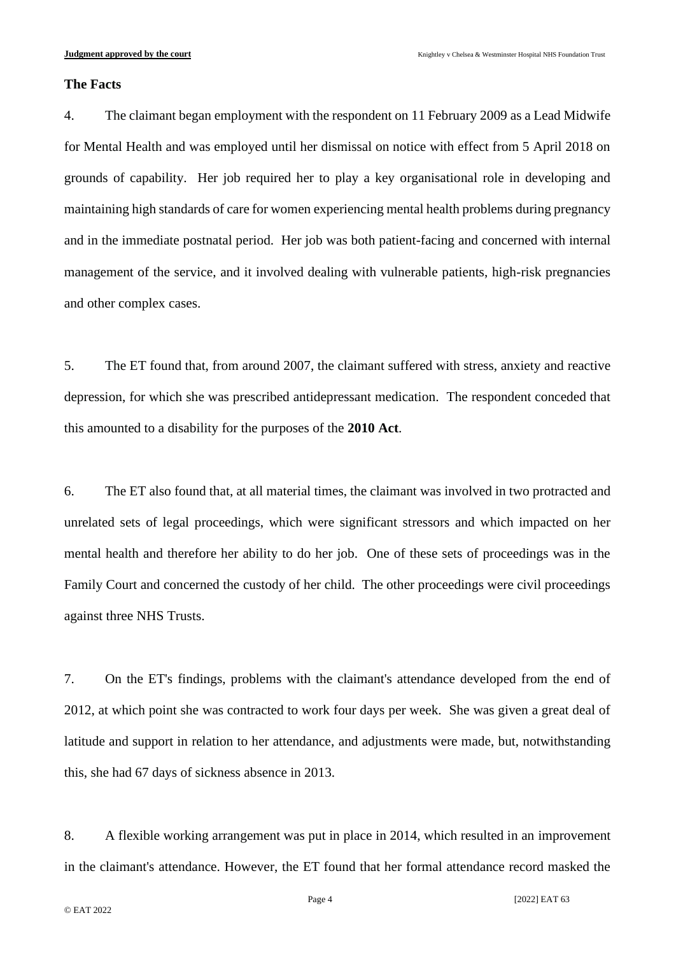### **The Facts**

4. The claimant began employment with the respondent on 11 February 2009 as a Lead Midwife for Mental Health and was employed until her dismissal on notice with effect from 5 April 2018 on grounds of capability. Her job required her to play a key organisational role in developing and maintaining high standards of care for women experiencing mental health problems during pregnancy and in the immediate postnatal period. Her job was both patient-facing and concerned with internal management of the service, and it involved dealing with vulnerable patients, high-risk pregnancies and other complex cases.

5. The ET found that, from around 2007, the claimant suffered with stress, anxiety and reactive depression, for which she was prescribed antidepressant medication. The respondent conceded that this amounted to a disability for the purposes of the **2010 Act**.

6. The ET also found that, at all material times, the claimant was involved in two protracted and unrelated sets of legal proceedings, which were significant stressors and which impacted on her mental health and therefore her ability to do her job. One of these sets of proceedings was in the Family Court and concerned the custody of her child. The other proceedings were civil proceedings against three NHS Trusts.

7. On the ET's findings, problems with the claimant's attendance developed from the end of 2012, at which point she was contracted to work four days per week. She was given a great deal of latitude and support in relation to her attendance, and adjustments were made, but, notwithstanding this, she had 67 days of sickness absence in 2013.

8. A flexible working arrangement was put in place in 2014, which resulted in an improvement in the claimant's attendance. However, the ET found that her formal attendance record masked the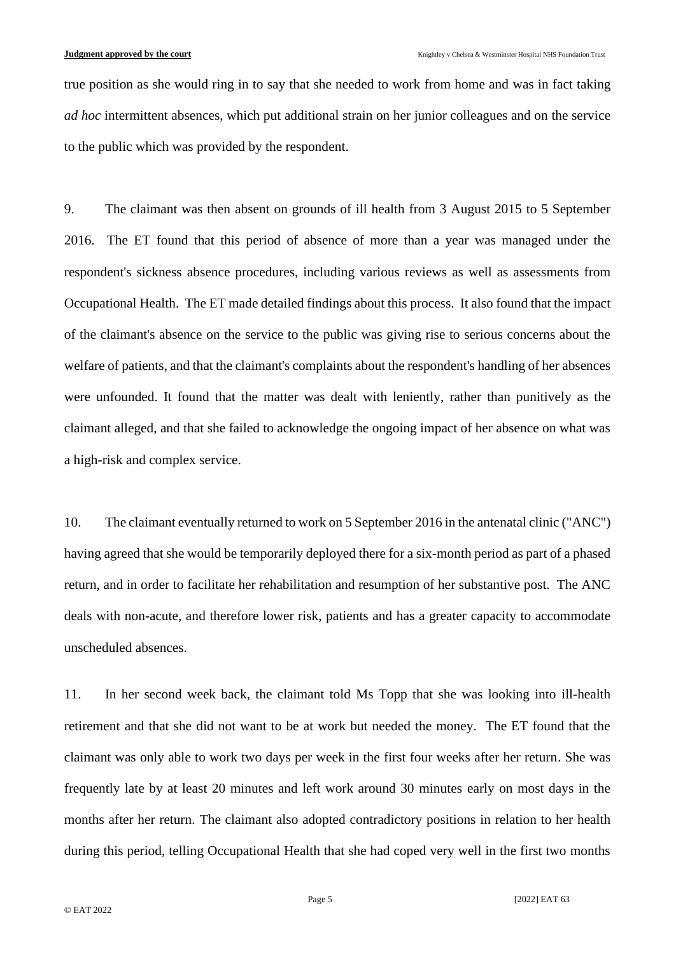true position as she would ring in to say that she needed to work from home and was in fact taking *ad hoc* intermittent absences, which put additional strain on her junior colleagues and on the service to the public which was provided by the respondent.

9. The claimant was then absent on grounds of ill health from 3 August 2015 to 5 September 2016. The ET found that this period of absence of more than a year was managed under the respondent's sickness absence procedures, including various reviews as well as assessments from Occupational Health. The ET made detailed findings about this process. It also found that the impact of the claimant's absence on the service to the public was giving rise to serious concerns about the welfare of patients, and that the claimant's complaints about the respondent's handling of her absences were unfounded. It found that the matter was dealt with leniently, rather than punitively as the claimant alleged, and that she failed to acknowledge the ongoing impact of her absence on what was a high-risk and complex service.

10. The claimant eventually returned to work on 5 September 2016 in the antenatal clinic ("ANC") having agreed that she would be temporarily deployed there for a six-month period as part of a phased return, and in order to facilitate her rehabilitation and resumption of her substantive post. The ANC deals with non-acute, and therefore lower risk, patients and has a greater capacity to accommodate unscheduled absences.

11. In her second week back, the claimant told Ms Topp that she was looking into ill-health retirement and that she did not want to be at work but needed the money. The ET found that the claimant was only able to work two days per week in the first four weeks after her return. She was frequently late by at least 20 minutes and left work around 30 minutes early on most days in the months after her return. The claimant also adopted contradictory positions in relation to her health during this period, telling Occupational Health that she had coped very well in the first two months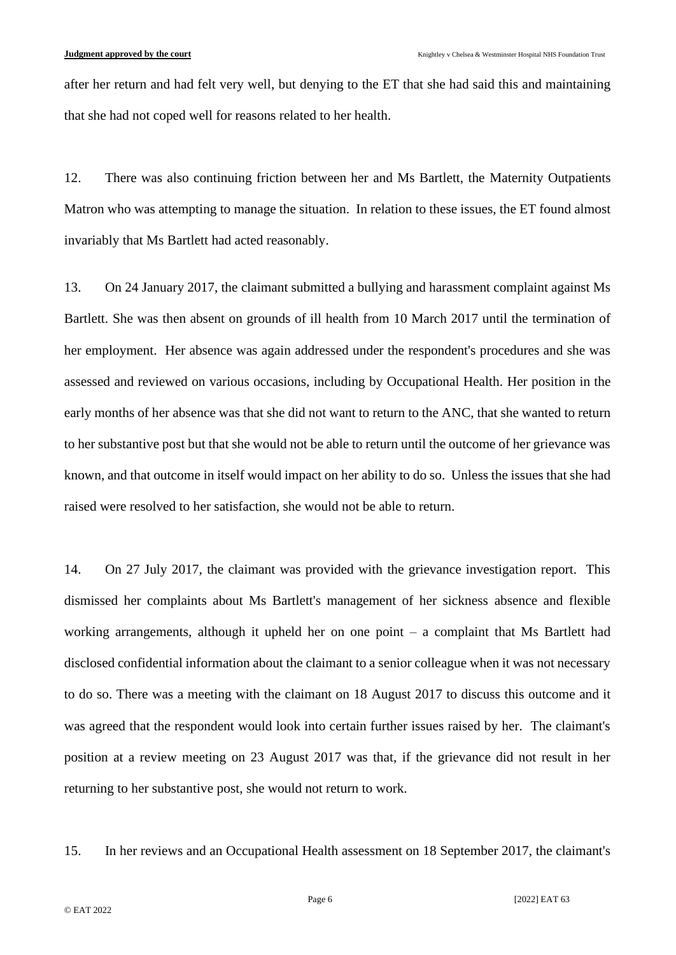after her return and had felt very well, but denying to the ET that she had said this and maintaining that she had not coped well for reasons related to her health.

12. There was also continuing friction between her and Ms Bartlett, the Maternity Outpatients Matron who was attempting to manage the situation. In relation to these issues, the ET found almost invariably that Ms Bartlett had acted reasonably.

13. On 24 January 2017, the claimant submitted a bullying and harassment complaint against Ms Bartlett. She was then absent on grounds of ill health from 10 March 2017 until the termination of her employment. Her absence was again addressed under the respondent's procedures and she was assessed and reviewed on various occasions, including by Occupational Health. Her position in the early months of her absence was that she did not want to return to the ANC, that she wanted to return to her substantive post but that she would not be able to return until the outcome of her grievance was known, and that outcome in itself would impact on her ability to do so. Unless the issues that she had raised were resolved to her satisfaction, she would not be able to return.

14. On 27 July 2017, the claimant was provided with the grievance investigation report. This dismissed her complaints about Ms Bartlett's management of her sickness absence and flexible working arrangements, although it upheld her on one point – a complaint that Ms Bartlett had disclosed confidential information about the claimant to a senior colleague when it was not necessary to do so. There was a meeting with the claimant on 18 August 2017 to discuss this outcome and it was agreed that the respondent would look into certain further issues raised by her. The claimant's position at a review meeting on 23 August 2017 was that, if the grievance did not result in her returning to her substantive post, she would not return to work.

15. In her reviews and an Occupational Health assessment on 18 September 2017, the claimant's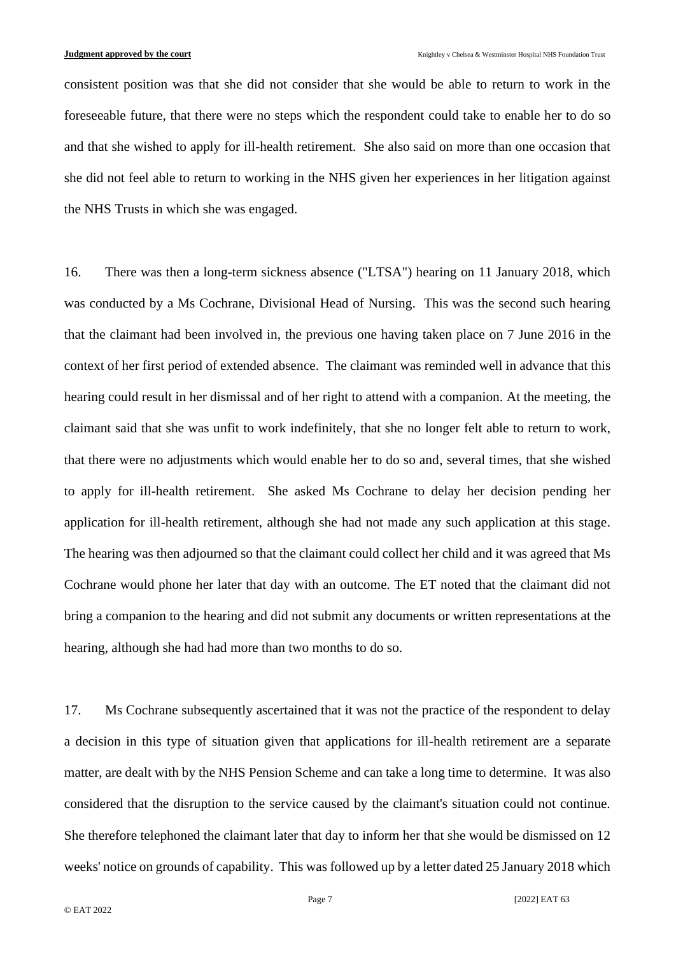consistent position was that she did not consider that she would be able to return to work in the foreseeable future, that there were no steps which the respondent could take to enable her to do so and that she wished to apply for ill-health retirement. She also said on more than one occasion that she did not feel able to return to working in the NHS given her experiences in her litigation against the NHS Trusts in which she was engaged.

16. There was then a long-term sickness absence ("LTSA") hearing on 11 January 2018, which was conducted by a Ms Cochrane, Divisional Head of Nursing. This was the second such hearing that the claimant had been involved in, the previous one having taken place on 7 June 2016 in the context of her first period of extended absence. The claimant was reminded well in advance that this hearing could result in her dismissal and of her right to attend with a companion. At the meeting, the claimant said that she was unfit to work indefinitely, that she no longer felt able to return to work, that there were no adjustments which would enable her to do so and, several times, that she wished to apply for ill-health retirement. She asked Ms Cochrane to delay her decision pending her application for ill-health retirement, although she had not made any such application at this stage. The hearing was then adjourned so that the claimant could collect her child and it was agreed that Ms Cochrane would phone her later that day with an outcome. The ET noted that the claimant did not bring a companion to the hearing and did not submit any documents or written representations at the hearing, although she had had more than two months to do so.

17. Ms Cochrane subsequently ascertained that it was not the practice of the respondent to delay a decision in this type of situation given that applications for ill-health retirement are a separate matter, are dealt with by the NHS Pension Scheme and can take a long time to determine. It was also considered that the disruption to the service caused by the claimant's situation could not continue. She therefore telephoned the claimant later that day to inform her that she would be dismissed on 12 weeks' notice on grounds of capability. This was followed up by a letter dated 25 January 2018 which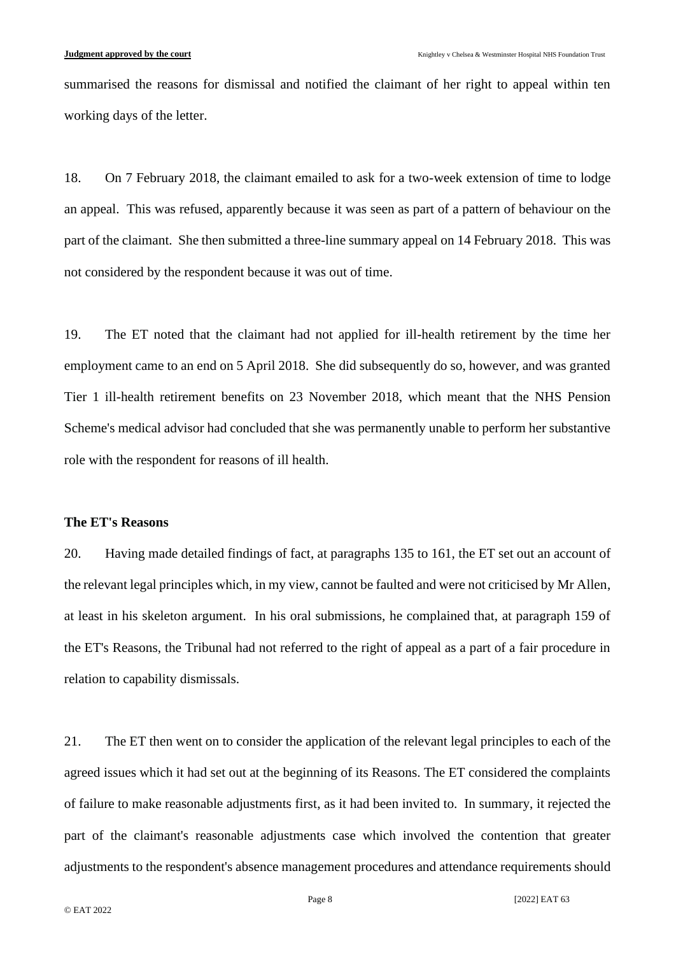summarised the reasons for dismissal and notified the claimant of her right to appeal within ten working days of the letter.

18. On 7 February 2018, the claimant emailed to ask for a two-week extension of time to lodge an appeal. This was refused, apparently because it was seen as part of a pattern of behaviour on the part of the claimant. She then submitted a three-line summary appeal on 14 February 2018. This was not considered by the respondent because it was out of time.

19. The ET noted that the claimant had not applied for ill-health retirement by the time her employment came to an end on 5 April 2018. She did subsequently do so, however, and was granted Tier 1 ill-health retirement benefits on 23 November 2018, which meant that the NHS Pension Scheme's medical advisor had concluded that she was permanently unable to perform her substantive role with the respondent for reasons of ill health.

#### **The ET's Reasons**

20. Having made detailed findings of fact, at paragraphs 135 to 161, the ET set out an account of the relevant legal principles which, in my view, cannot be faulted and were not criticised by Mr Allen, at least in his skeleton argument. In his oral submissions, he complained that, at paragraph 159 of the ET's Reasons, the Tribunal had not referred to the right of appeal as a part of a fair procedure in relation to capability dismissals.

21. The ET then went on to consider the application of the relevant legal principles to each of the agreed issues which it had set out at the beginning of its Reasons. The ET considered the complaints of failure to make reasonable adjustments first, as it had been invited to. In summary, it rejected the part of the claimant's reasonable adjustments case which involved the contention that greater adjustments to the respondent's absence management procedures and attendance requirements should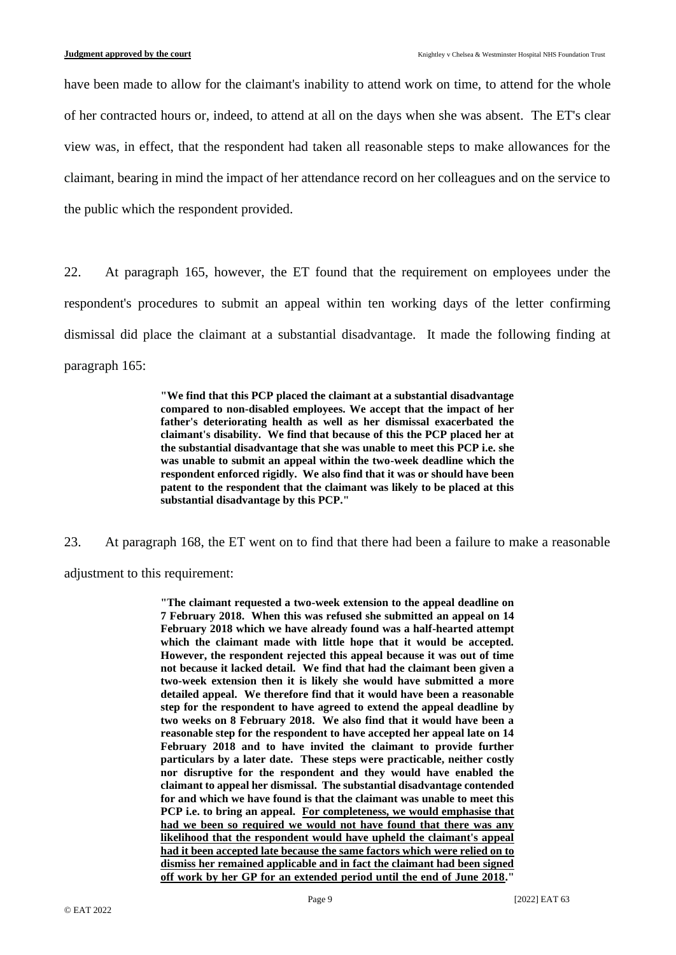have been made to allow for the claimant's inability to attend work on time, to attend for the whole of her contracted hours or, indeed, to attend at all on the days when she was absent. The ET's clear view was, in effect, that the respondent had taken all reasonable steps to make allowances for the claimant, bearing in mind the impact of her attendance record on her colleagues and on the service to the public which the respondent provided.

22. At paragraph 165, however, the ET found that the requirement on employees under the respondent's procedures to submit an appeal within ten working days of the letter confirming dismissal did place the claimant at a substantial disadvantage. It made the following finding at paragraph 165:

> **"We find that this PCP placed the claimant at a substantial disadvantage compared to non-disabled employees. We accept that the impact of her father's deteriorating health as well as her dismissal exacerbated the claimant's disability. We find that because of this the PCP placed her at the substantial disadvantage that she was unable to meet this PCP i.e. she was unable to submit an appeal within the two-week deadline which the respondent enforced rigidly. We also find that it was or should have been patent to the respondent that the claimant was likely to be placed at this substantial disadvantage by this PCP."**

23. At paragraph 168, the ET went on to find that there had been a failure to make a reasonable adjustment to this requirement:

> **"The claimant requested a two-week extension to the appeal deadline on 7 February 2018. When this was refused she submitted an appeal on 14 February 2018 which we have already found was a half-hearted attempt which the claimant made with little hope that it would be accepted. However, the respondent rejected this appeal because it was out of time not because it lacked detail. We find that had the claimant been given a two-week extension then it is likely she would have submitted a more detailed appeal. We therefore find that it would have been a reasonable step for the respondent to have agreed to extend the appeal deadline by two weeks on 8 February 2018. We also find that it would have been a reasonable step for the respondent to have accepted her appeal late on 14 February 2018 and to have invited the claimant to provide further particulars by a later date. These steps were practicable, neither costly nor disruptive for the respondent and they would have enabled the claimant to appeal her dismissal. The substantial disadvantage contended for and which we have found is that the claimant was unable to meet this PCP i.e. to bring an appeal. For completeness, we would emphasise that had we been so required we would not have found that there was any likelihood that the respondent would have upheld the claimant's appeal had it been accepted late because the same factors which were relied on to dismiss her remained applicable and in fact the claimant had been signed off work by her GP for an extended period until the end of June 2018."**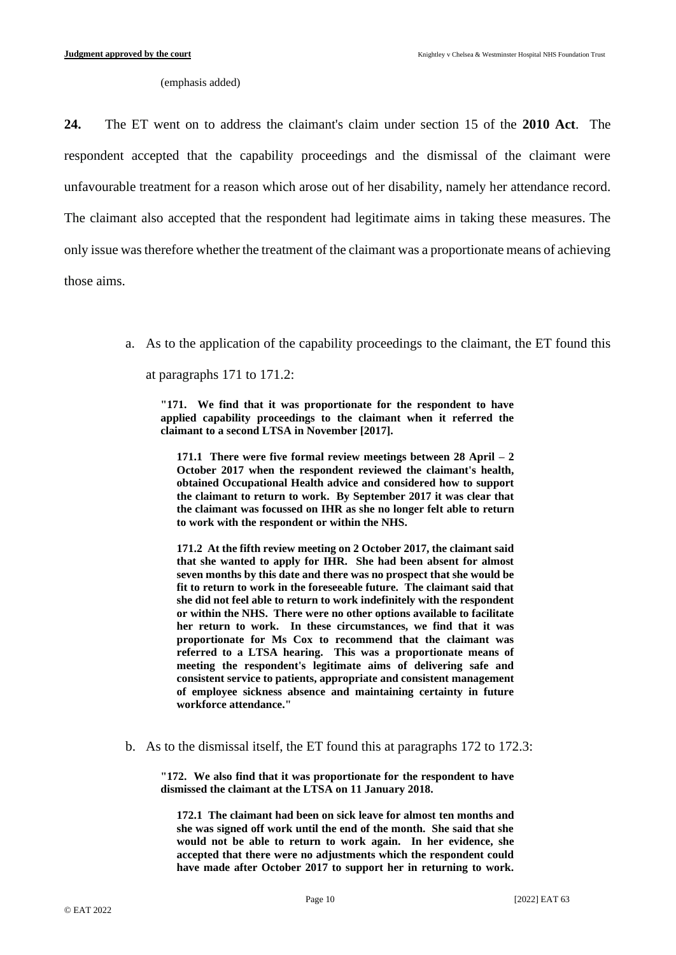(emphasis added)

**24.** The ET went on to address the claimant's claim under section 15 of the **2010 Act**. The respondent accepted that the capability proceedings and the dismissal of the claimant were unfavourable treatment for a reason which arose out of her disability, namely her attendance record. The claimant also accepted that the respondent had legitimate aims in taking these measures. The only issue was therefore whether the treatment of the claimant was a proportionate means of achieving those aims.

a. As to the application of the capability proceedings to the claimant, the ET found this

at paragraphs 171 to 171.2:

**"171. We find that it was proportionate for the respondent to have applied capability proceedings to the claimant when it referred the claimant to a second LTSA in November [2017].**

**171.1 There were five formal review meetings between 28 April – 2 October 2017 when the respondent reviewed the claimant's health, obtained Occupational Health advice and considered how to support the claimant to return to work. By September 2017 it was clear that the claimant was focussed on IHR as she no longer felt able to return to work with the respondent or within the NHS.**

**171.2 At the fifth review meeting on 2 October 2017, the claimant said that she wanted to apply for IHR. She had been absent for almost seven months by this date and there was no prospect that she would be fit to return to work in the foreseeable future. The claimant said that she did not feel able to return to work indefinitely with the respondent or within the NHS. There were no other options available to facilitate her return to work. In these circumstances, we find that it was proportionate for Ms Cox to recommend that the claimant was referred to a LTSA hearing. This was a proportionate means of meeting the respondent's legitimate aims of delivering safe and consistent service to patients, appropriate and consistent management of employee sickness absence and maintaining certainty in future workforce attendance."**

b. As to the dismissal itself, the ET found this at paragraphs 172 to 172.3:

**"172. We also find that it was proportionate for the respondent to have dismissed the claimant at the LTSA on 11 January 2018.**

**172.1 The claimant had been on sick leave for almost ten months and she was signed off work until the end of the month. She said that she would not be able to return to work again. In her evidence, she accepted that there were no adjustments which the respondent could have made after October 2017 to support her in returning to work.**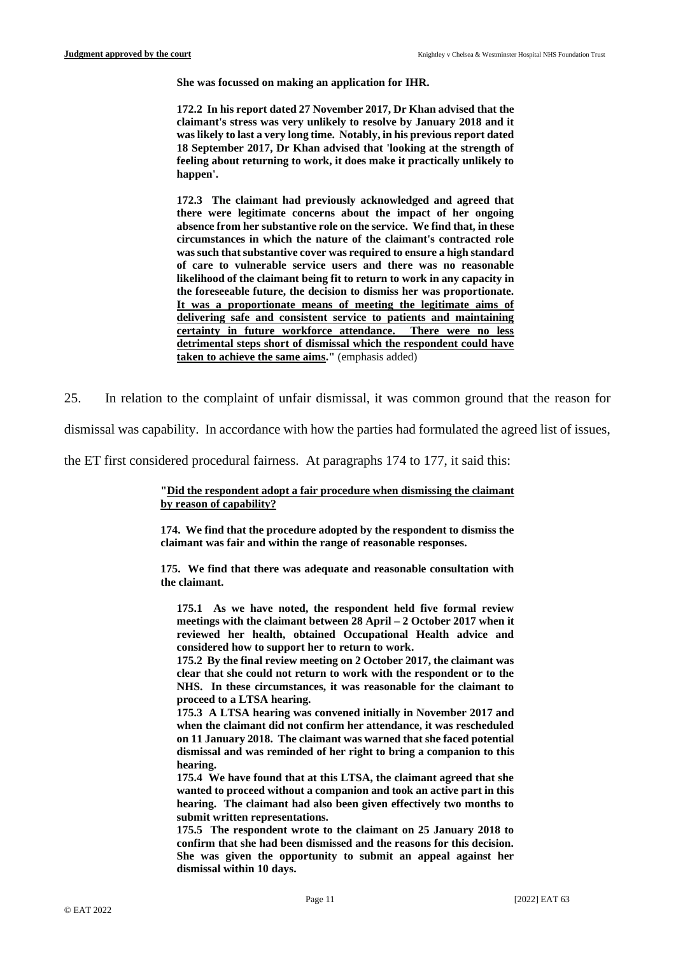**She was focussed on making an application for IHR.**

**172.2 In his report dated 27 November 2017, Dr Khan advised that the claimant's stress was very unlikely to resolve by January 2018 and it was likely to last a very long time. Notably, in his previous report dated 18 September 2017, Dr Khan advised that 'looking at the strength of feeling about returning to work, it does make it practically unlikely to happen'.**

**172.3 The claimant had previously acknowledged and agreed that there were legitimate concerns about the impact of her ongoing absence from her substantive role on the service. We find that, in these circumstances in which the nature of the claimant's contracted role was such that substantive cover was required to ensure a high standard of care to vulnerable service users and there was no reasonable likelihood of the claimant being fit to return to work in any capacity in the foreseeable future, the decision to dismiss her was proportionate. It was a proportionate means of meeting the legitimate aims of delivering safe and consistent service to patients and maintaining certainty in future workforce attendance. There were no less detrimental steps short of dismissal which the respondent could have taken to achieve the same aims."** (emphasis added)

25. In relation to the complaint of unfair dismissal, it was common ground that the reason for

dismissal was capability. In accordance with how the parties had formulated the agreed list of issues,

the ET first considered procedural fairness. At paragraphs 174 to 177, it said this:

**"Did the respondent adopt a fair procedure when dismissing the claimant by reason of capability?**

**174. We find that the procedure adopted by the respondent to dismiss the claimant was fair and within the range of reasonable responses.**

**175. We find that there was adequate and reasonable consultation with the claimant.**

**175.1 As we have noted, the respondent held five formal review meetings with the claimant between 28 April – 2 October 2017 when it reviewed her health, obtained Occupational Health advice and considered how to support her to return to work.**

**175.2 By the final review meeting on 2 October 2017, the claimant was clear that she could not return to work with the respondent or to the NHS. In these circumstances, it was reasonable for the claimant to proceed to a LTSA hearing.**

**175.3 A LTSA hearing was convened initially in November 2017 and when the claimant did not confirm her attendance, it was rescheduled on 11 January 2018. The claimant was warned that she faced potential dismissal and was reminded of her right to bring a companion to this hearing.**

**175.4 We have found that at this LTSA, the claimant agreed that she wanted to proceed without a companion and took an active part in this hearing. The claimant had also been given effectively two months to submit written representations.** 

**175.5 The respondent wrote to the claimant on 25 January 2018 to confirm that she had been dismissed and the reasons for this decision. She was given the opportunity to submit an appeal against her dismissal within 10 days.**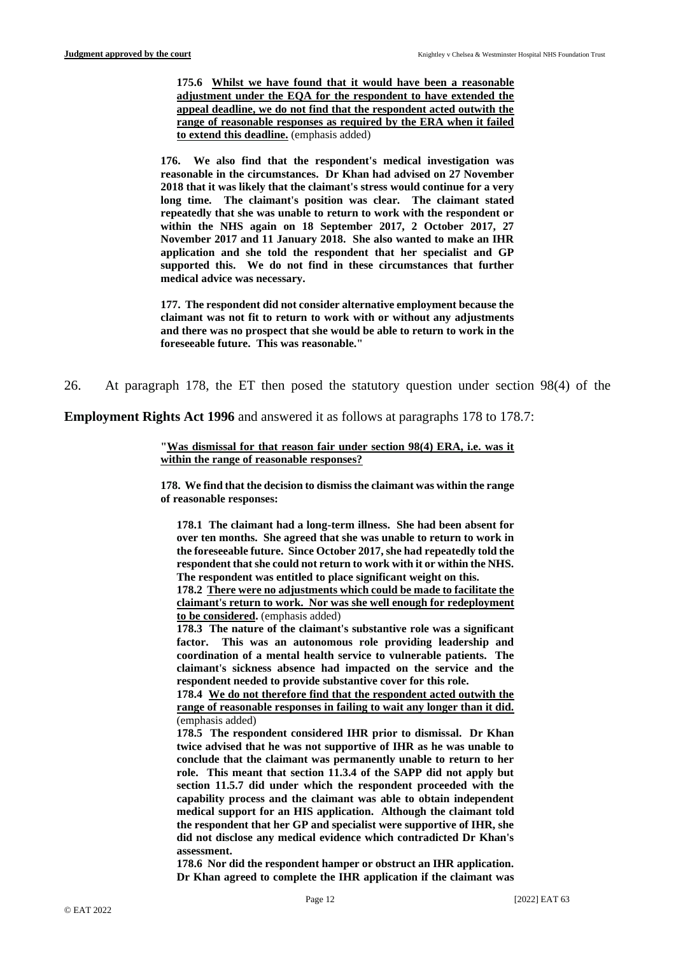**175.6 Whilst we have found that it would have been a reasonable adjustment under the EQA for the respondent to have extended the appeal deadline, we do not find that the respondent acted outwith the range of reasonable responses as required by the ERA when it failed to extend this deadline.** (emphasis added)

**176. We also find that the respondent's medical investigation was reasonable in the circumstances. Dr Khan had advised on 27 November 2018 that it was likely that the claimant's stress would continue for a very long time. The claimant's position was clear. The claimant stated repeatedly that she was unable to return to work with the respondent or within the NHS again on 18 September 2017, 2 October 2017, 27 November 2017 and 11 January 2018. She also wanted to make an IHR application and she told the respondent that her specialist and GP supported this. We do not find in these circumstances that further medical advice was necessary.**

**177. The respondent did not consider alternative employment because the claimant was not fit to return to work with or without any adjustments and there was no prospect that she would be able to return to work in the foreseeable future. This was reasonable."** 

26. At paragraph 178, the ET then posed the statutory question under section 98(4) of the

**Employment Rights Act 1996** and answered it as follows at paragraphs 178 to 178.7:

**"Was dismissal for that reason fair under section 98(4) ERA, i.e. was it within the range of reasonable responses?**

**178. We find that the decision to dismiss the claimant was within the range of reasonable responses:**

**178.1 The claimant had a long-term illness. She had been absent for over ten months. She agreed that she was unable to return to work in the foreseeable future. Since October 2017, she had repeatedly told the respondent that she could not return to work with it or within the NHS. The respondent was entitled to place significant weight on this.**

**178.2 There were no adjustments which could be made to facilitate the claimant's return to work. Nor was she well enough for redeployment to be considered.** (emphasis added)

**178.3 The nature of the claimant's substantive role was a significant factor. This was an autonomous role providing leadership and coordination of a mental health service to vulnerable patients. The claimant's sickness absence had impacted on the service and the respondent needed to provide substantive cover for this role.**

**178.4 We do not therefore find that the respondent acted outwith the range of reasonable responses in failing to wait any longer than it did.** (emphasis added)

**178.5 The respondent considered IHR prior to dismissal. Dr Khan twice advised that he was not supportive of IHR as he was unable to conclude that the claimant was permanently unable to return to her role. This meant that section 11.3.4 of the SAPP did not apply but section 11.5.7 did under which the respondent proceeded with the capability process and the claimant was able to obtain independent medical support for an HIS application. Although the claimant told the respondent that her GP and specialist were supportive of IHR, she did not disclose any medical evidence which contradicted Dr Khan's assessment.**

**178.6 Nor did the respondent hamper or obstruct an IHR application. Dr Khan agreed to complete the IHR application if the claimant was**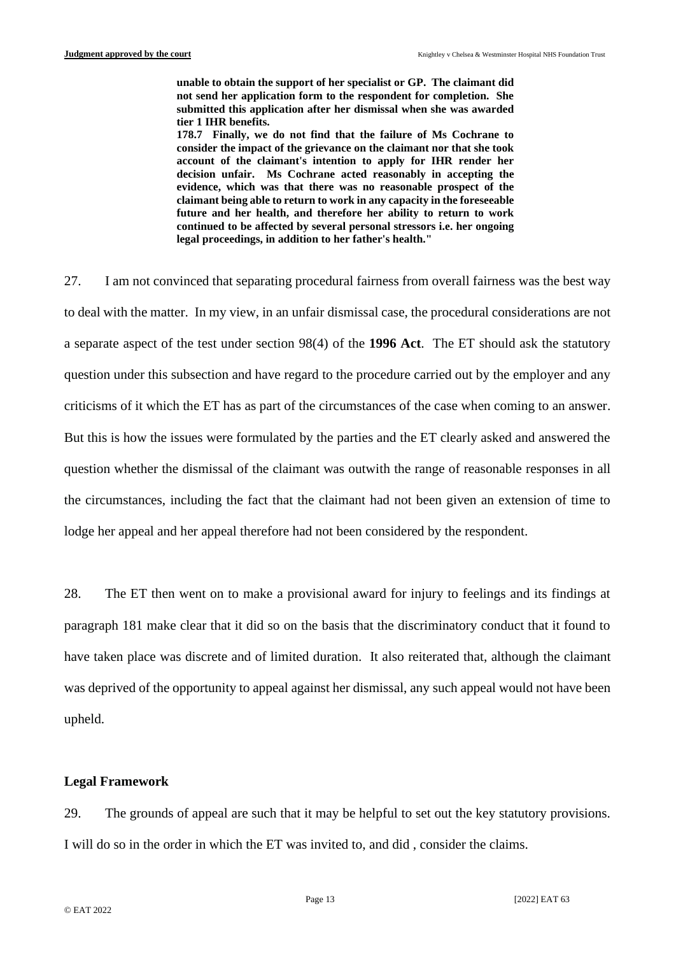**unable to obtain the support of her specialist or GP. The claimant did not send her application form to the respondent for completion. She submitted this application after her dismissal when she was awarded tier 1 IHR benefits.**

**178.7 Finally, we do not find that the failure of Ms Cochrane to consider the impact of the grievance on the claimant nor that she took account of the claimant's intention to apply for IHR render her decision unfair. Ms Cochrane acted reasonably in accepting the evidence, which was that there was no reasonable prospect of the claimant being able to return to work in any capacity in the foreseeable future and her health, and therefore her ability to return to work continued to be affected by several personal stressors i.e. her ongoing legal proceedings, in addition to her father's health."**

27. I am not convinced that separating procedural fairness from overall fairness was the best way to deal with the matter. In my view, in an unfair dismissal case, the procedural considerations are not a separate aspect of the test under section 98(4) of the **1996 Act**. The ET should ask the statutory question under this subsection and have regard to the procedure carried out by the employer and any criticisms of it which the ET has as part of the circumstances of the case when coming to an answer. But this is how the issues were formulated by the parties and the ET clearly asked and answered the question whether the dismissal of the claimant was outwith the range of reasonable responses in all the circumstances, including the fact that the claimant had not been given an extension of time to lodge her appeal and her appeal therefore had not been considered by the respondent.

28. The ET then went on to make a provisional award for injury to feelings and its findings at paragraph 181 make clear that it did so on the basis that the discriminatory conduct that it found to have taken place was discrete and of limited duration. It also reiterated that, although the claimant was deprived of the opportunity to appeal against her dismissal, any such appeal would not have been upheld.

# **Legal Framework**

29. The grounds of appeal are such that it may be helpful to set out the key statutory provisions. I will do so in the order in which the ET was invited to, and did , consider the claims.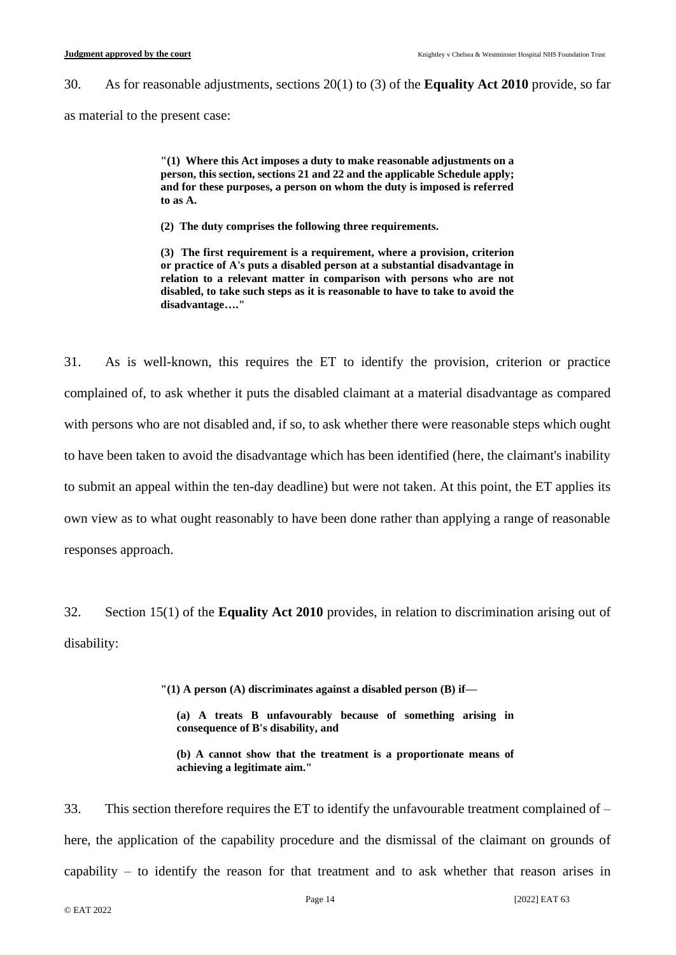30. As for reasonable adjustments, sections 20(1) to (3) of the **Equality Act 2010** provide, so far as material to the present case:

> **"(1) Where this Act imposes a duty to make reasonable adjustments on a person, this section, sections 21 and 22 and the applicable Schedule apply; and for these purposes, a person on whom the duty is imposed is referred to as A.**

**(2) The duty comprises the following three requirements.**

**(3) The first requirement is a requirement, where a provision, criterion or practice of A's puts a disabled person at a substantial disadvantage in relation to a relevant matter in comparison with persons who are not disabled, to take such steps as it is reasonable to have to take to avoid the disadvantage…."**

31. As is well-known, this requires the ET to identify the provision, criterion or practice complained of, to ask whether it puts the disabled claimant at a material disadvantage as compared with persons who are not disabled and, if so, to ask whether there were reasonable steps which ought to have been taken to avoid the disadvantage which has been identified (here, the claimant's inability to submit an appeal within the ten-day deadline) but were not taken. At this point, the ET applies its own view as to what ought reasonably to have been done rather than applying a range of reasonable responses approach.

32. Section 15(1) of the **Equality Act 2010** provides, in relation to discrimination arising out of disability:

**"(1) A person (A) discriminates against a disabled person (B) if—**

**(a) A treats B unfavourably because of something arising in consequence of B's disability, and**

**(b) A cannot show that the treatment is a proportionate means of achieving a legitimate aim."**

33. This section therefore requires the ET to identify the unfavourable treatment complained of – here, the application of the capability procedure and the dismissal of the claimant on grounds of capability – to identify the reason for that treatment and to ask whether that reason arises in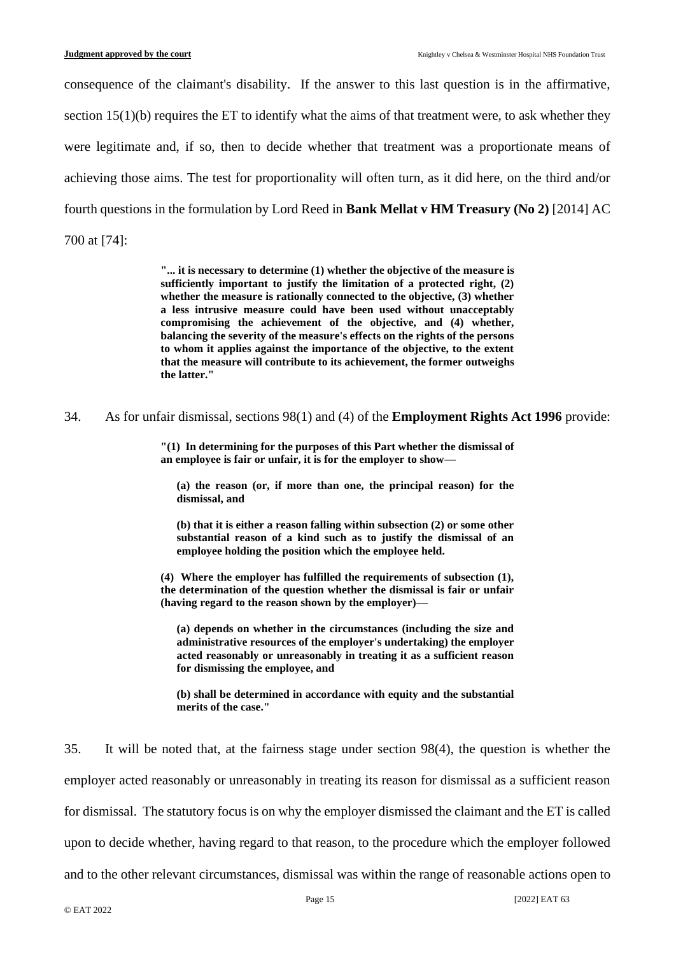consequence of the claimant's disability. If the answer to this last question is in the affirmative, section  $15(1)(b)$  requires the ET to identify what the aims of that treatment were, to ask whether they were legitimate and, if so, then to decide whether that treatment was a proportionate means of achieving those aims. The test for proportionality will often turn, as it did here, on the third and/or fourth questions in the formulation by Lord Reed in **Bank Mellat v HM Treasury (No 2)** [2014] AC 700 at [74]:

> **"... it is necessary to determine (1) whether the objective of the measure is sufficiently important to justify the limitation of a protected right, (2) whether the measure is rationally connected to the objective, (3) whether a less intrusive measure could have been used without unacceptably compromising the achievement of the objective, and (4) whether, balancing the severity of the measure's effects on the rights of the persons to whom it applies against the importance of the objective, to the extent that the measure will contribute to its achievement, the former outweighs the latter."**

34. As for unfair dismissal, sections 98(1) and (4) of the **Employment Rights Act 1996** provide:

**"(1) In determining for the purposes of this Part whether the dismissal of an employee is fair or unfair, it is for the employer to show—**

**(a) the reason (or, if more than one, the principal reason) for the dismissal, and**

**(b) that it is either a reason falling within subsection (2) or some other substantial reason of a kind such as to justify the dismissal of an employee holding the position which the employee held.**

**(4) Where the employer has fulfilled the requirements of subsection (1), the determination of the question whether the dismissal is fair or unfair (having regard to the reason shown by the employer)—**

**(a) depends on whether in the circumstances (including the size and administrative resources of the employer's undertaking) the employer acted reasonably or unreasonably in treating it as a sufficient reason for dismissing the employee, and**

**(b) shall be determined in accordance with equity and the substantial merits of the case."**

35. It will be noted that, at the fairness stage under section 98(4), the question is whether the employer acted reasonably or unreasonably in treating its reason for dismissal as a sufficient reason for dismissal. The statutory focus is on why the employer dismissed the claimant and the ET is called upon to decide whether, having regard to that reason, to the procedure which the employer followed and to the other relevant circumstances, dismissal was within the range of reasonable actions open to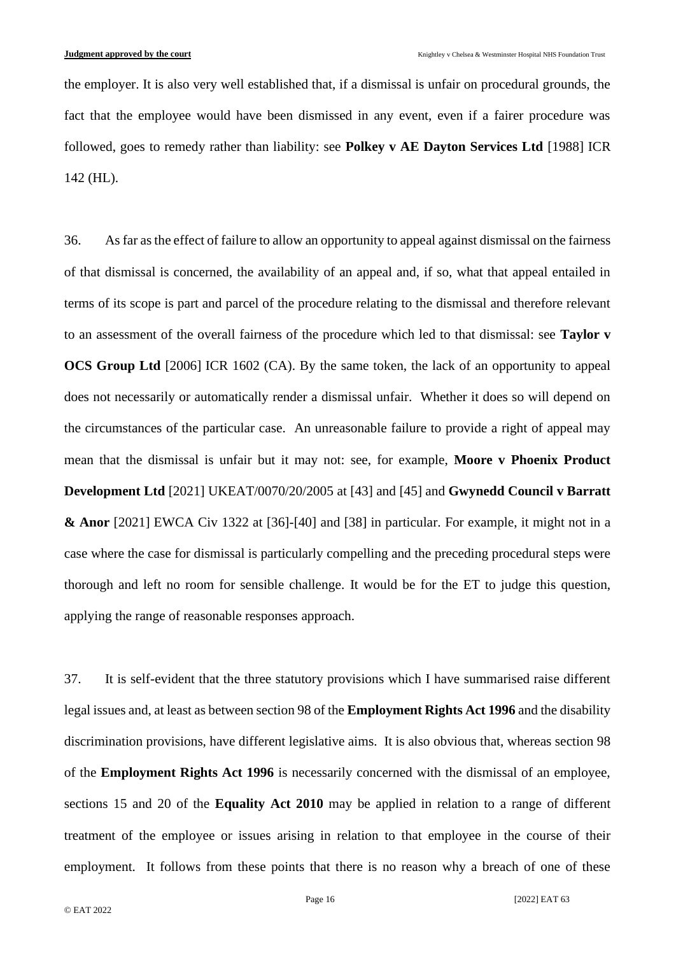the employer. It is also very well established that, if a dismissal is unfair on procedural grounds, the fact that the employee would have been dismissed in any event, even if a fairer procedure was followed, goes to remedy rather than liability: see **Polkey v AE Dayton Services Ltd** [1988] ICR 142 (HL).

36. As far as the effect of failure to allow an opportunity to appeal against dismissal on the fairness of that dismissal is concerned, the availability of an appeal and, if so, what that appeal entailed in terms of its scope is part and parcel of the procedure relating to the dismissal and therefore relevant to an assessment of the overall fairness of the procedure which led to that dismissal: see **Taylor v OCS Group Ltd** [2006] ICR 1602 (CA). By the same token, the lack of an opportunity to appeal does not necessarily or automatically render a dismissal unfair. Whether it does so will depend on the circumstances of the particular case. An unreasonable failure to provide a right of appeal may mean that the dismissal is unfair but it may not: see, for example, **Moore v Phoenix Product Development Ltd** [2021] UKEAT/0070/20/2005 at [43] and [45] and **Gwynedd Council v Barratt & Anor** [2021] EWCA Civ 1322 at [36]-[40] and [38] in particular. For example, it might not in a case where the case for dismissal is particularly compelling and the preceding procedural steps were thorough and left no room for sensible challenge. It would be for the ET to judge this question, applying the range of reasonable responses approach.

37. It is self-evident that the three statutory provisions which I have summarised raise different legal issues and, at least as between section 98 of the **Employment Rights Act 1996** and the disability discrimination provisions, have different legislative aims. It is also obvious that, whereas section 98 of the **Employment Rights Act 1996** is necessarily concerned with the dismissal of an employee, sections 15 and 20 of the **Equality Act 2010** may be applied in relation to a range of different treatment of the employee or issues arising in relation to that employee in the course of their employment. It follows from these points that there is no reason why a breach of one of these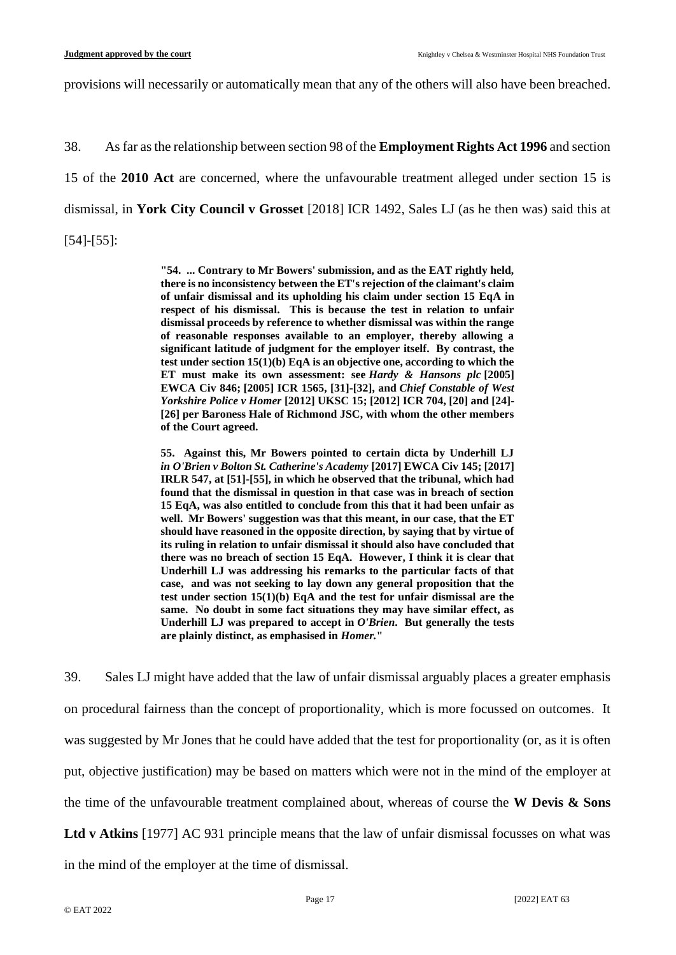provisions will necessarily or automatically mean that any of the others will also have been breached.

38. As far as the relationship between section 98 of the **Employment Rights Act 1996** and section 15 of the **2010 Act** are concerned, where the unfavourable treatment alleged under section 15 is dismissal, in **York City Council v Grosset** [2018] ICR 1492, Sales LJ (as he then was) said this at [54]-[55]:

> **"54. ... Contrary to Mr Bowers' submission, and as the EAT rightly held, there is no inconsistency between the ET's rejection of the claimant's claim of unfair dismissal and its upholding his claim under section 15 EqA in respect of his dismissal. This is because the test in relation to unfair dismissal proceeds by reference to whether dismissal was within the range of reasonable responses available to an employer, thereby allowing a significant latitude of judgment for the employer itself. By contrast, the test under section 15(1)(b) EqA is an objective one, according to which the ET must make its own assessment: see** *Hardy & Hansons plc* **[\[2005\]](https://www.bailii.org/ew/cases/EWCA/Civ/2005/846.html)  [EWCA Civ 846;](https://www.bailii.org/ew/cases/EWCA/Civ/2005/846.html) [\[2005\] ICR 1565,](https://www.bailii.org/cgi-bin/redirect.cgi?path=/ew/cases/EWCA/Civ/2005/846.html) [31]-[32], and** *Chief Constable of West Yorkshire Police v Homer* **[\[2012\] UKSC 15;](https://www.bailii.org/uk/cases/UKSC/2012/15.html) [\[2012\] ICR 704,](https://www.bailii.org/cgi-bin/redirect.cgi?path=/uk/cases/UKSC/2012/15.html) [20] and [24]- [26] per Baroness Hale of Richmond JSC, with whom the other members of the Court agreed.**

> **55. Against this, Mr Bowers pointed to certain dicta by Underhill LJ**  *in O'Brien v Bolton St. Catherine's Academy* **[\[2017\] EWCA Civ 145;](https://www.bailii.org/ew/cases/EWCA/Civ/2017/145.html) [2017] IRLR 547, at [51]-[55], in which he observed that the tribunal, which had found that the dismissal in question in that case was in breach of section 15 EqA, was also entitled to conclude from this that it had been unfair as well. Mr Bowers' suggestion was that this meant, in our case, that the ET should have reasoned in the opposite direction, by saying that by virtue of its ruling in relation to unfair dismissal it should also have concluded that there was no breach of section 15 EqA. However, I think it is clear that Underhill LJ was addressing his remarks to the particular facts of that case, and was not seeking to lay down any general proposition that the test under section 15(1)(b) EqA and the test for unfair dismissal are the same. No doubt in some fact situations they may have similar effect, as Underhill LJ was prepared to accept in** *O'Brien***. But generally the tests are plainly distinct, as emphasised in** *Homer.***"**

39. Sales LJ might have added that the law of unfair dismissal arguably places a greater emphasis on procedural fairness than the concept of proportionality, which is more focussed on outcomes. It was suggested by Mr Jones that he could have added that the test for proportionality (or, as it is often put, objective justification) may be based on matters which were not in the mind of the employer at the time of the unfavourable treatment complained about, whereas of course the **W Devis & Sons** 

**Ltd v Atkins** [1977] AC 931 principle means that the law of unfair dismissal focusses on what was

in the mind of the employer at the time of dismissal.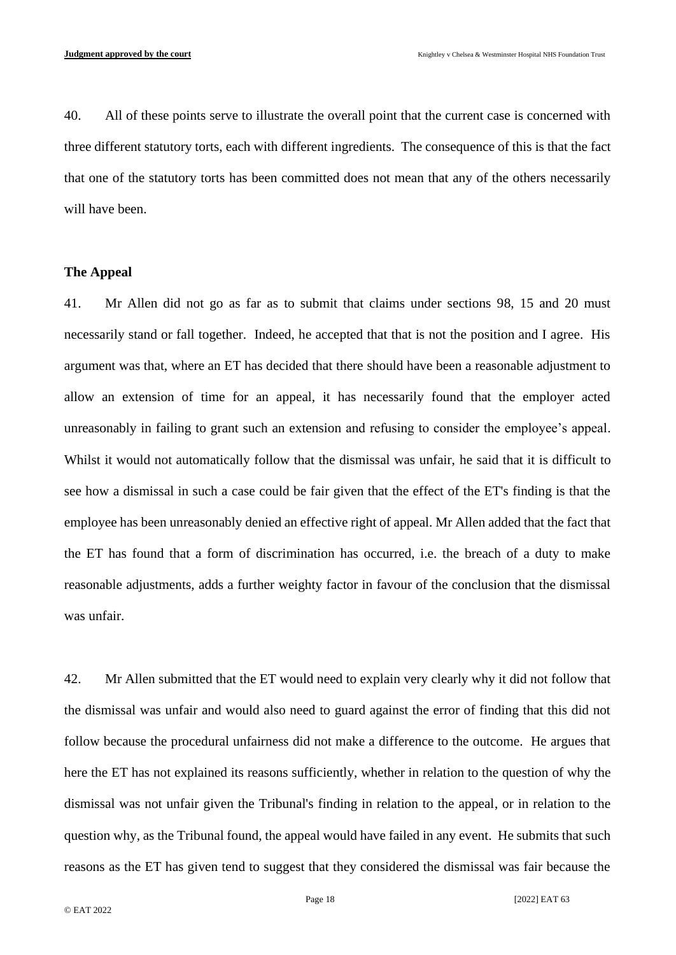40. All of these points serve to illustrate the overall point that the current case is concerned with three different statutory torts, each with different ingredients. The consequence of this is that the fact that one of the statutory torts has been committed does not mean that any of the others necessarily will have been.

#### **The Appeal**

41. Mr Allen did not go as far as to submit that claims under sections 98, 15 and 20 must necessarily stand or fall together. Indeed, he accepted that that is not the position and I agree. His argument was that, where an ET has decided that there should have been a reasonable adjustment to allow an extension of time for an appeal, it has necessarily found that the employer acted unreasonably in failing to grant such an extension and refusing to consider the employee's appeal. Whilst it would not automatically follow that the dismissal was unfair, he said that it is difficult to see how a dismissal in such a case could be fair given that the effect of the ET's finding is that the employee has been unreasonably denied an effective right of appeal. Mr Allen added that the fact that the ET has found that a form of discrimination has occurred, i.e. the breach of a duty to make reasonable adjustments, adds a further weighty factor in favour of the conclusion that the dismissal was unfair.

42. Mr Allen submitted that the ET would need to explain very clearly why it did not follow that the dismissal was unfair and would also need to guard against the error of finding that this did not follow because the procedural unfairness did not make a difference to the outcome. He argues that here the ET has not explained its reasons sufficiently, whether in relation to the question of why the dismissal was not unfair given the Tribunal's finding in relation to the appeal, or in relation to the question why, as the Tribunal found, the appeal would have failed in any event. He submits that such reasons as the ET has given tend to suggest that they considered the dismissal was fair because the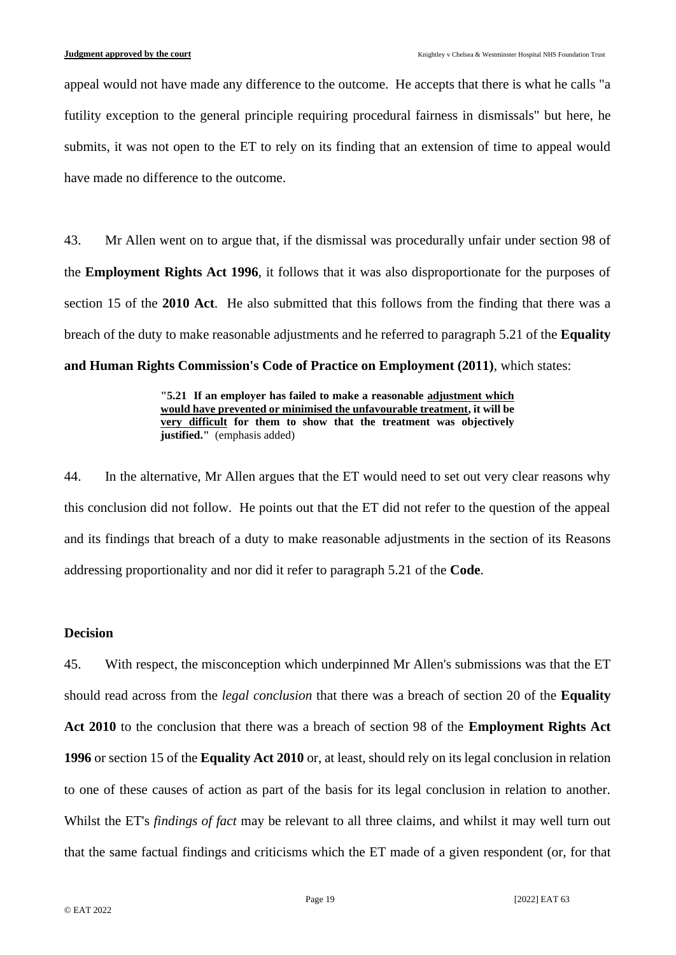appeal would not have made any difference to the outcome. He accepts that there is what he calls "a futility exception to the general principle requiring procedural fairness in dismissals" but here, he submits, it was not open to the ET to rely on its finding that an extension of time to appeal would have made no difference to the outcome.

43. Mr Allen went on to argue that, if the dismissal was procedurally unfair under section 98 of the **Employment Rights Act 1996**, it follows that it was also disproportionate for the purposes of section 15 of the **2010 Act**. He also submitted that this follows from the finding that there was a breach of the duty to make reasonable adjustments and he referred to paragraph 5.21 of the **Equality and Human Rights Commission's Code of Practice on Employment (2011)**, which states:

> **"5.21 If an employer has failed to make a reasonable adjustment which would have prevented or minimised the unfavourable treatment, it will be very difficult for them to show that the treatment was objectively justified."** (emphasis added)

44. In the alternative, Mr Allen argues that the ET would need to set out very clear reasons why this conclusion did not follow. He points out that the ET did not refer to the question of the appeal and its findings that breach of a duty to make reasonable adjustments in the section of its Reasons addressing proportionality and nor did it refer to paragraph 5.21 of the **Code**.

# **Decision**

45. With respect, the misconception which underpinned Mr Allen's submissions was that the ET should read across from the *legal conclusion* that there was a breach of section 20 of the **Equality Act 2010** to the conclusion that there was a breach of section 98 of the **Employment Rights Act 1996** or section 15 of the **Equality Act 2010** or, at least, should rely on its legal conclusion in relation to one of these causes of action as part of the basis for its legal conclusion in relation to another. Whilst the ET's *findings of fact* may be relevant to all three claims, and whilst it may well turn out that the same factual findings and criticisms which the ET made of a given respondent (or, for that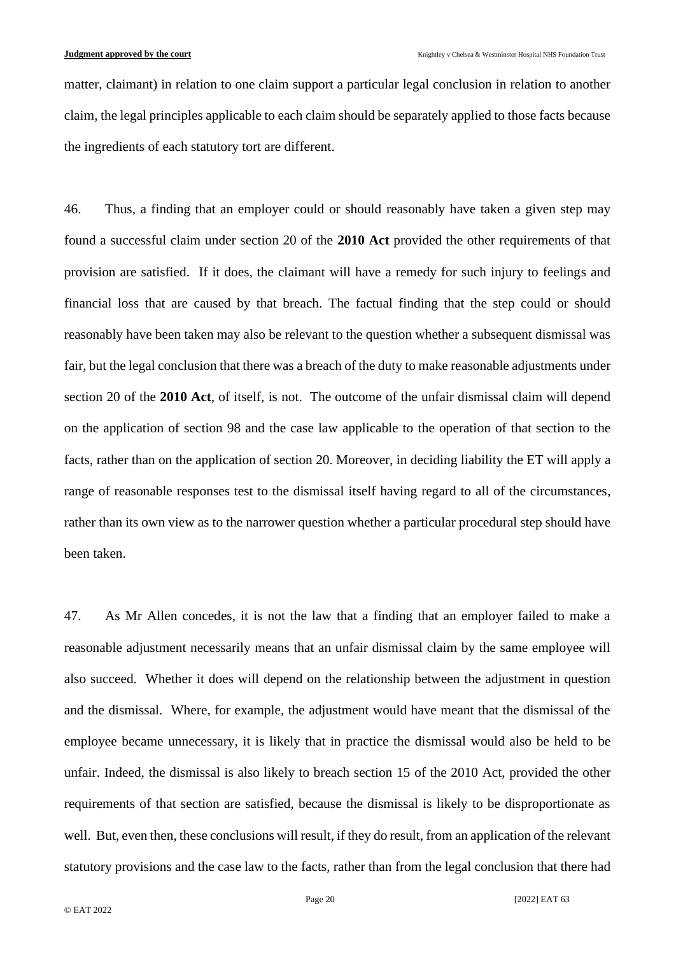matter, claimant) in relation to one claim support a particular legal conclusion in relation to another claim, the legal principles applicable to each claim should be separately applied to those facts because the ingredients of each statutory tort are different.

46. Thus, a finding that an employer could or should reasonably have taken a given step may found a successful claim under section 20 of the **2010 Act** provided the other requirements of that provision are satisfied. If it does, the claimant will have a remedy for such injury to feelings and financial loss that are caused by that breach. The factual finding that the step could or should reasonably have been taken may also be relevant to the question whether a subsequent dismissal was fair, but the legal conclusion that there was a breach of the duty to make reasonable adjustments under section 20 of the **2010 Act**, of itself, is not. The outcome of the unfair dismissal claim will depend on the application of section 98 and the case law applicable to the operation of that section to the facts, rather than on the application of section 20. Moreover, in deciding liability the ET will apply a range of reasonable responses test to the dismissal itself having regard to all of the circumstances, rather than its own view as to the narrower question whether a particular procedural step should have been taken.

47. As Mr Allen concedes, it is not the law that a finding that an employer failed to make a reasonable adjustment necessarily means that an unfair dismissal claim by the same employee will also succeed. Whether it does will depend on the relationship between the adjustment in question and the dismissal. Where, for example, the adjustment would have meant that the dismissal of the employee became unnecessary, it is likely that in practice the dismissal would also be held to be unfair. Indeed, the dismissal is also likely to breach section 15 of the 2010 Act, provided the other requirements of that section are satisfied, because the dismissal is likely to be disproportionate as well. But, even then, these conclusions will result, if they do result, from an application of the relevant statutory provisions and the case law to the facts, rather than from the legal conclusion that there had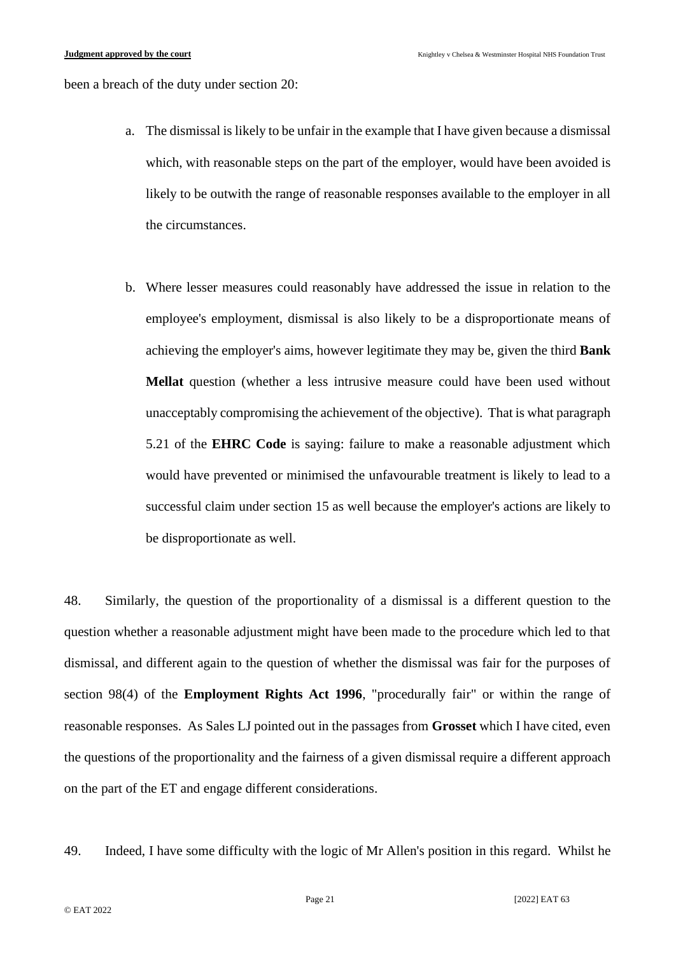been a breach of the duty under section 20:

- a. The dismissal is likely to be unfair in the example that I have given because a dismissal which, with reasonable steps on the part of the employer, would have been avoided is likely to be outwith the range of reasonable responses available to the employer in all the circumstances.
- b. Where lesser measures could reasonably have addressed the issue in relation to the employee's employment, dismissal is also likely to be a disproportionate means of achieving the employer's aims, however legitimate they may be, given the third **Bank Mellat** question (whether a less intrusive measure could have been used without unacceptably compromising the achievement of the objective). That is what paragraph 5.21 of the **EHRC Code** is saying: failure to make a reasonable adjustment which would have prevented or minimised the unfavourable treatment is likely to lead to a successful claim under section 15 as well because the employer's actions are likely to be disproportionate as well.

48. Similarly, the question of the proportionality of a dismissal is a different question to the question whether a reasonable adjustment might have been made to the procedure which led to that dismissal, and different again to the question of whether the dismissal was fair for the purposes of section 98(4) of the **Employment Rights Act 1996**, "procedurally fair" or within the range of reasonable responses. As Sales LJ pointed out in the passages from **Grosset** which I have cited, even the questions of the proportionality and the fairness of a given dismissal require a different approach on the part of the ET and engage different considerations.

49. Indeed, I have some difficulty with the logic of Mr Allen's position in this regard. Whilst he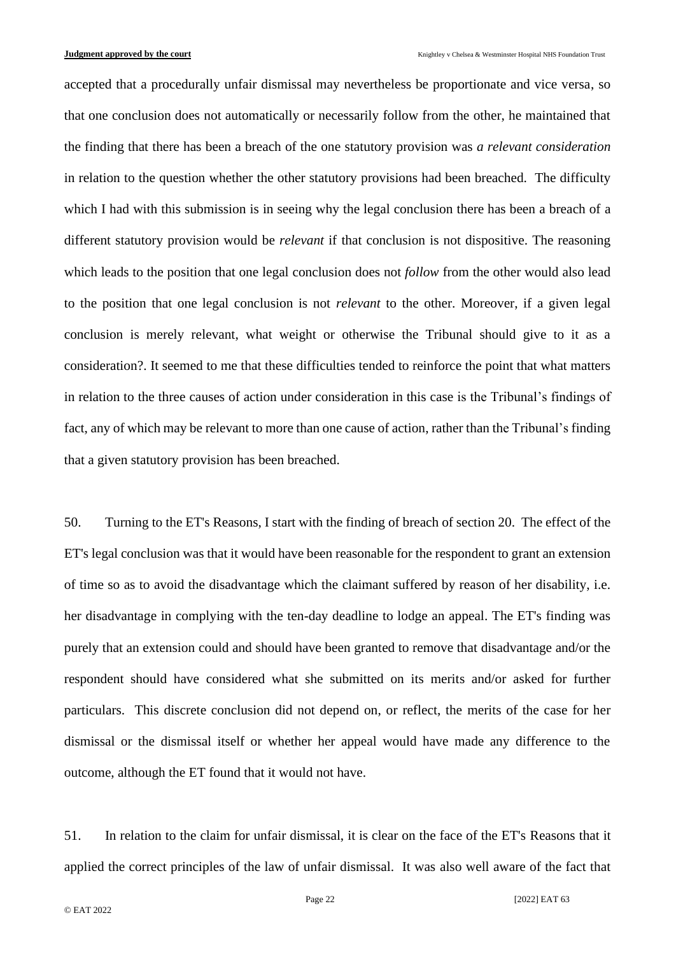accepted that a procedurally unfair dismissal may nevertheless be proportionate and vice versa, so that one conclusion does not automatically or necessarily follow from the other, he maintained that the finding that there has been a breach of the one statutory provision was *a relevant consideration* in relation to the question whether the other statutory provisions had been breached. The difficulty which I had with this submission is in seeing why the legal conclusion there has been a breach of a different statutory provision would be *relevant* if that conclusion is not dispositive. The reasoning which leads to the position that one legal conclusion does not *follow* from the other would also lead to the position that one legal conclusion is not *relevant* to the other. Moreover, if a given legal conclusion is merely relevant, what weight or otherwise the Tribunal should give to it as a consideration?. It seemed to me that these difficulties tended to reinforce the point that what matters in relation to the three causes of action under consideration in this case is the Tribunal's findings of fact, any of which may be relevant to more than one cause of action, rather than the Tribunal's finding that a given statutory provision has been breached.

50. Turning to the ET's Reasons, I start with the finding of breach of section 20. The effect of the ET's legal conclusion was that it would have been reasonable for the respondent to grant an extension of time so as to avoid the disadvantage which the claimant suffered by reason of her disability, i.e. her disadvantage in complying with the ten-day deadline to lodge an appeal. The ET's finding was purely that an extension could and should have been granted to remove that disadvantage and/or the respondent should have considered what she submitted on its merits and/or asked for further particulars. This discrete conclusion did not depend on, or reflect, the merits of the case for her dismissal or the dismissal itself or whether her appeal would have made any difference to the outcome, although the ET found that it would not have.

51. In relation to the claim for unfair dismissal, it is clear on the face of the ET's Reasons that it applied the correct principles of the law of unfair dismissal. It was also well aware of the fact that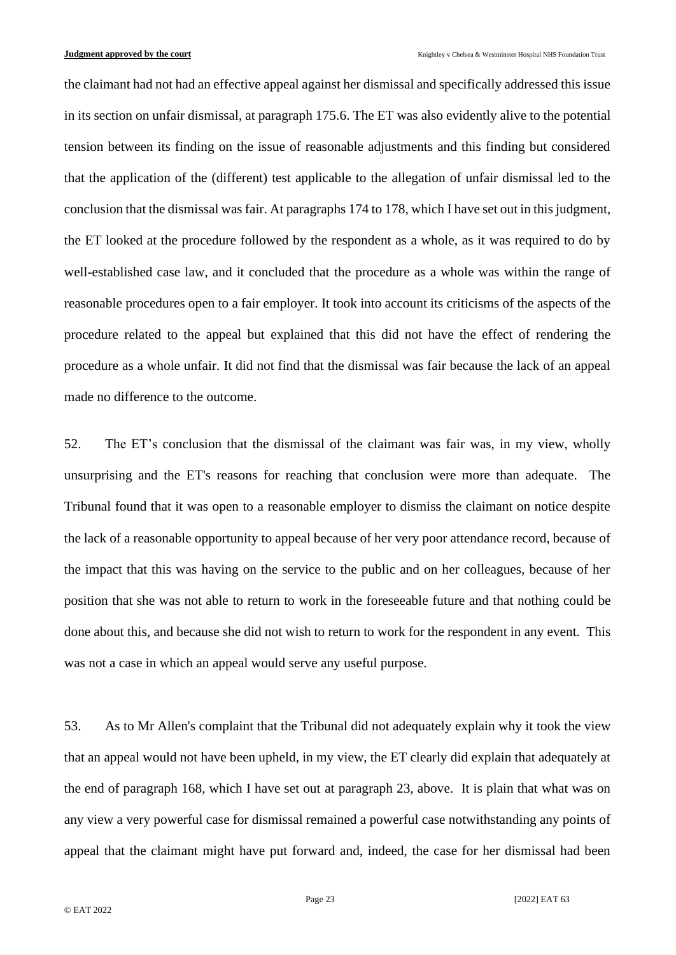the claimant had not had an effective appeal against her dismissal and specifically addressed this issue in its section on unfair dismissal, at paragraph 175.6. The ET was also evidently alive to the potential tension between its finding on the issue of reasonable adjustments and this finding but considered that the application of the (different) test applicable to the allegation of unfair dismissal led to the conclusion that the dismissal was fair. At paragraphs 174 to 178, which I have set out in this judgment, the ET looked at the procedure followed by the respondent as a whole, as it was required to do by well-established case law, and it concluded that the procedure as a whole was within the range of reasonable procedures open to a fair employer. It took into account its criticisms of the aspects of the procedure related to the appeal but explained that this did not have the effect of rendering the procedure as a whole unfair. It did not find that the dismissal was fair because the lack of an appeal made no difference to the outcome.

52. The ET's conclusion that the dismissal of the claimant was fair was, in my view, wholly unsurprising and the ET's reasons for reaching that conclusion were more than adequate. The Tribunal found that it was open to a reasonable employer to dismiss the claimant on notice despite the lack of a reasonable opportunity to appeal because of her very poor attendance record, because of the impact that this was having on the service to the public and on her colleagues, because of her position that she was not able to return to work in the foreseeable future and that nothing could be done about this, and because she did not wish to return to work for the respondent in any event. This was not a case in which an appeal would serve any useful purpose.

53. As to Mr Allen's complaint that the Tribunal did not adequately explain why it took the view that an appeal would not have been upheld, in my view, the ET clearly did explain that adequately at the end of paragraph 168, which I have set out at paragraph 23, above. It is plain that what was on any view a very powerful case for dismissal remained a powerful case notwithstanding any points of appeal that the claimant might have put forward and, indeed, the case for her dismissal had been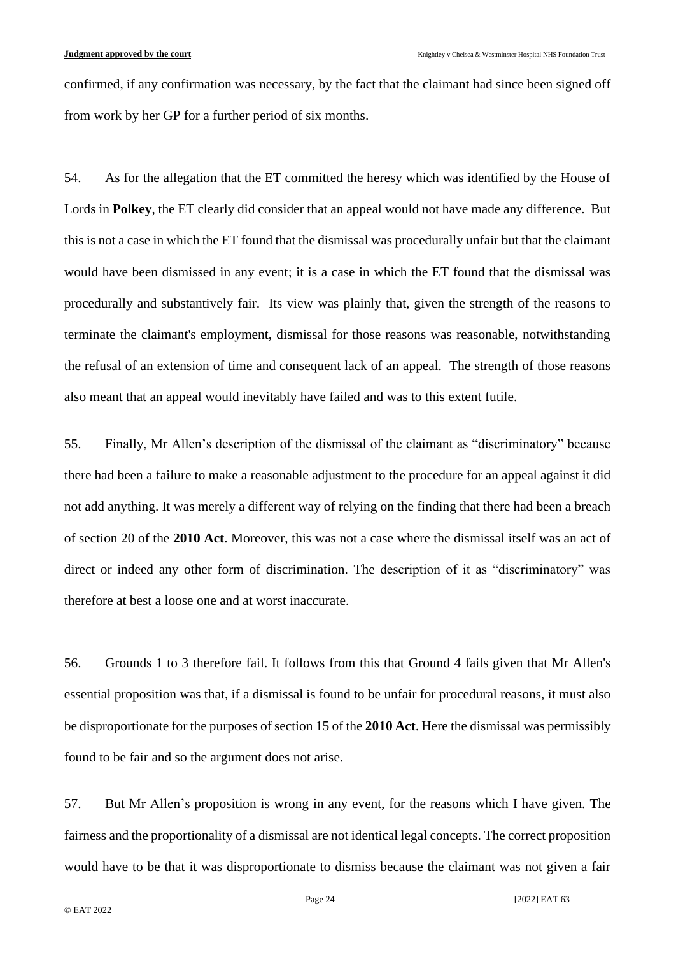confirmed, if any confirmation was necessary, by the fact that the claimant had since been signed off from work by her GP for a further period of six months.

54. As for the allegation that the ET committed the heresy which was identified by the House of Lords in **Polkey**, the ET clearly did consider that an appeal would not have made any difference. But this is not a case in which the ET found that the dismissal was procedurally unfair but that the claimant would have been dismissed in any event; it is a case in which the ET found that the dismissal was procedurally and substantively fair. Its view was plainly that, given the strength of the reasons to terminate the claimant's employment, dismissal for those reasons was reasonable, notwithstanding the refusal of an extension of time and consequent lack of an appeal. The strength of those reasons also meant that an appeal would inevitably have failed and was to this extent futile.

55. Finally, Mr Allen's description of the dismissal of the claimant as "discriminatory" because there had been a failure to make a reasonable adjustment to the procedure for an appeal against it did not add anything. It was merely a different way of relying on the finding that there had been a breach of section 20 of the **2010 Act**. Moreover, this was not a case where the dismissal itself was an act of direct or indeed any other form of discrimination. The description of it as "discriminatory" was therefore at best a loose one and at worst inaccurate.

56. Grounds 1 to 3 therefore fail. It follows from this that Ground 4 fails given that Mr Allen's essential proposition was that, if a dismissal is found to be unfair for procedural reasons, it must also be disproportionate for the purposes of section 15 of the **2010 Act**. Here the dismissal was permissibly found to be fair and so the argument does not arise.

57. But Mr Allen's proposition is wrong in any event, for the reasons which I have given. The fairness and the proportionality of a dismissal are not identical legal concepts. The correct proposition would have to be that it was disproportionate to dismiss because the claimant was not given a fair